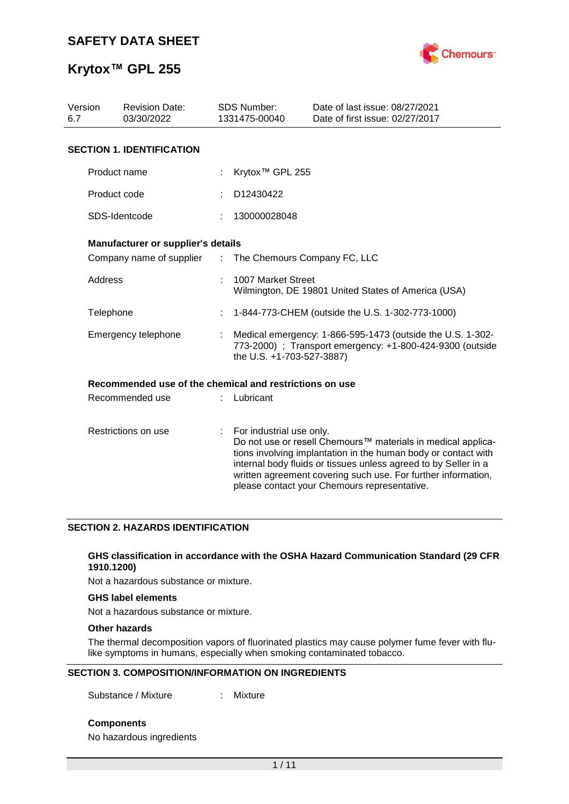

| Version<br>6.7 | <b>Revision Date:</b><br>03/30/2022                     |                               | <b>SDS Number:</b><br>1331475-00040 | Date of last issue: 08/27/2021<br>Date of first issue: 02/27/2017                                                                                                                                                                                                                                                  |
|----------------|---------------------------------------------------------|-------------------------------|-------------------------------------|--------------------------------------------------------------------------------------------------------------------------------------------------------------------------------------------------------------------------------------------------------------------------------------------------------------------|
|                | <b>SECTION 1. IDENTIFICATION</b>                        |                               |                                     |                                                                                                                                                                                                                                                                                                                    |
|                | Product name                                            |                               | Krytox <sup>™</sup> GPL 255         |                                                                                                                                                                                                                                                                                                                    |
|                | Product code                                            |                               | D12430422                           |                                                                                                                                                                                                                                                                                                                    |
|                | SDS-Identcode                                           |                               | 130000028048                        |                                                                                                                                                                                                                                                                                                                    |
|                | Manufacturer or supplier's details                      |                               |                                     |                                                                                                                                                                                                                                                                                                                    |
|                | Company name of supplier                                | $\mathcal{I}^{\mathcal{I}}$ . |                                     | The Chemours Company FC, LLC                                                                                                                                                                                                                                                                                       |
| Address        |                                                         |                               | 1007 Market Street                  | Wilmington, DE 19801 United States of America (USA)                                                                                                                                                                                                                                                                |
| Telephone      |                                                         |                               |                                     | 1-844-773-CHEM (outside the U.S. 1-302-773-1000)                                                                                                                                                                                                                                                                   |
|                | Emergency telephone                                     |                               | the U.S. +1-703-527-3887)           | Medical emergency: 1-866-595-1473 (outside the U.S. 1-302-<br>773-2000) ; Transport emergency: +1-800-424-9300 (outside                                                                                                                                                                                            |
|                | Recommended use of the chemical and restrictions on use |                               |                                     |                                                                                                                                                                                                                                                                                                                    |
|                | Recommended use                                         |                               | Lubricant                           |                                                                                                                                                                                                                                                                                                                    |
|                | Restrictions on use                                     | t.                            | For industrial use only.            | Do not use or resell Chemours™ materials in medical applica-<br>tions involving implantation in the human body or contact with<br>internal body fluids or tissues unless agreed to by Seller in a<br>written agreement covering such use. For further information,<br>please contact your Chemours representative. |

#### **SECTION 2. HAZARDS IDENTIFICATION**

#### **GHS classification in accordance with the OSHA Hazard Communication Standard (29 CFR 1910.1200)**

Not a hazardous substance or mixture.

#### **GHS label elements**

Not a hazardous substance or mixture.

#### **Other hazards**

The thermal decomposition vapors of fluorinated plastics may cause polymer fume fever with flulike symptoms in humans, especially when smoking contaminated tobacco.

#### **SECTION 3. COMPOSITION/INFORMATION ON INGREDIENTS**

Substance / Mixture : Mixture

**Components**

No hazardous ingredients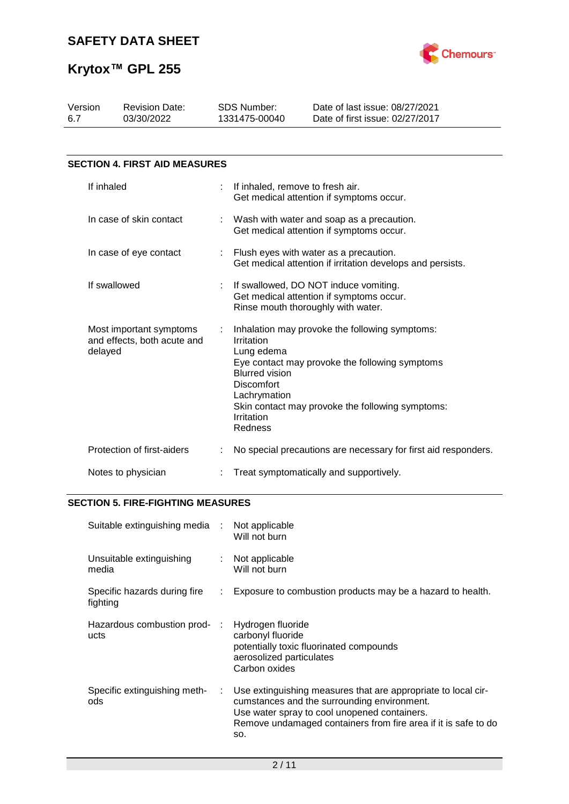

| Version<br>6.7 | <b>Revision Date:</b><br>03/30/2022                    | <b>SDS Number:</b><br>1331475-00040                                                                             | Date of last issue: 08/27/2021<br>Date of first issue: 02/27/2017                                                                                    |
|----------------|--------------------------------------------------------|-----------------------------------------------------------------------------------------------------------------|------------------------------------------------------------------------------------------------------------------------------------------------------|
|                |                                                        |                                                                                                                 |                                                                                                                                                      |
|                | <b>SECTION 4. FIRST AID MEASURES</b>                   |                                                                                                                 |                                                                                                                                                      |
| If inhaled     |                                                        | If inhaled, remove to fresh air.                                                                                | Get medical attention if symptoms occur.                                                                                                             |
|                | In case of skin contact                                |                                                                                                                 | Wash with water and soap as a precaution.<br>Get medical attention if symptoms occur.                                                                |
|                | In case of eye contact                                 |                                                                                                                 | Flush eyes with water as a precaution.<br>Get medical attention if irritation develops and persists.                                                 |
|                | If swallowed                                           |                                                                                                                 | If swallowed, DO NOT induce vomiting.<br>Get medical attention if symptoms occur.<br>Rinse mouth thoroughly with water.                              |
| delayed        | Most important symptoms<br>and effects, both acute and | Irritation<br>Lung edema<br><b>Blurred vision</b><br><b>Discomfort</b><br>Lachrymation<br>Irritation<br>Redness | Inhalation may provoke the following symptoms:<br>Eye contact may provoke the following symptoms<br>Skin contact may provoke the following symptoms: |
|                | Protection of first-aiders                             |                                                                                                                 | No special precautions are necessary for first aid responders.                                                                                       |
|                | Notes to physician                                     |                                                                                                                 | Treat symptomatically and supportively.                                                                                                              |

### **SECTION 5. FIRE-FIGHTING MEASURES**

| Suitable extinguishing media :           |                            | Not applicable<br>Will not burn                                                                                                                                                                                                       |
|------------------------------------------|----------------------------|---------------------------------------------------------------------------------------------------------------------------------------------------------------------------------------------------------------------------------------|
| Unsuitable extinguishing<br>media        | $\mathcal{L}^{\text{max}}$ | Not applicable<br>Will not burn                                                                                                                                                                                                       |
| Specific hazards during fire<br>fighting | t.                         | Exposure to combustion products may be a hazard to health.                                                                                                                                                                            |
| Hazardous combustion prod-<br>ucts       | ÷                          | Hydrogen fluoride<br>carbonyl fluoride<br>potentially toxic fluorinated compounds<br>aerosolized particulates<br>Carbon oxides                                                                                                        |
| Specific extinguishing meth-<br>ods      | ÷.                         | Use extinguishing measures that are appropriate to local cir-<br>cumstances and the surrounding environment.<br>Use water spray to cool unopened containers.<br>Remove undamaged containers from fire area if it is safe to do<br>SO. |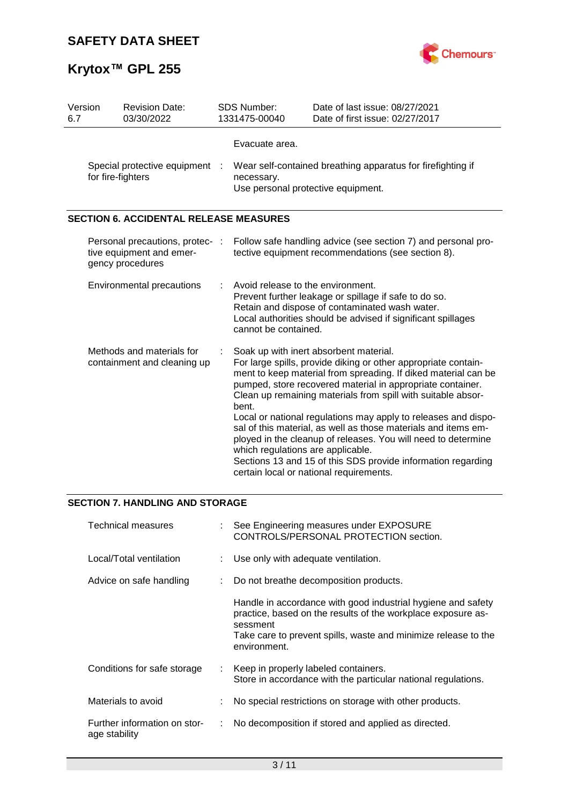

| Version<br>6.7 | <b>Revision Date:</b><br>03/30/2022                                             | <b>SDS Number:</b><br>1331475-00040                                | Date of last issue: 08/27/2021<br>Date of first issue: 02/27/2017                                                                                                                                                                                                                                                                                                                                                                                                                                                                                                                                                        |
|----------------|---------------------------------------------------------------------------------|--------------------------------------------------------------------|--------------------------------------------------------------------------------------------------------------------------------------------------------------------------------------------------------------------------------------------------------------------------------------------------------------------------------------------------------------------------------------------------------------------------------------------------------------------------------------------------------------------------------------------------------------------------------------------------------------------------|
|                | Special protective equipment :<br>for fire-fighters                             | Evacuate area.<br>necessary.<br>Use personal protective equipment. | Wear self-contained breathing apparatus for firefighting if                                                                                                                                                                                                                                                                                                                                                                                                                                                                                                                                                              |
|                | <b>SECTION 6. ACCIDENTAL RELEASE MEASURES</b>                                   |                                                                    |                                                                                                                                                                                                                                                                                                                                                                                                                                                                                                                                                                                                                          |
|                | Personal precautions, protec- :<br>tive equipment and emer-<br>gency procedures |                                                                    | Follow safe handling advice (see section 7) and personal pro-<br>tective equipment recommendations (see section 8).                                                                                                                                                                                                                                                                                                                                                                                                                                                                                                      |
|                | <b>Environmental precautions</b>                                                | Avoid release to the environment.<br>cannot be contained.          | Prevent further leakage or spillage if safe to do so.<br>Retain and dispose of contaminated wash water.<br>Local authorities should be advised if significant spillages                                                                                                                                                                                                                                                                                                                                                                                                                                                  |
|                | Methods and materials for<br>containment and cleaning up                        | bent.<br>which regulations are applicable.                         | Soak up with inert absorbent material.<br>For large spills, provide diking or other appropriate contain-<br>ment to keep material from spreading. If diked material can be<br>pumped, store recovered material in appropriate container.<br>Clean up remaining materials from spill with suitable absor-<br>Local or national regulations may apply to releases and dispo-<br>sal of this material, as well as those materials and items em-<br>ployed in the cleanup of releases. You will need to determine<br>Sections 13 and 15 of this SDS provide information regarding<br>certain local or national requirements. |

### **SECTION 7. HANDLING AND STORAGE**

| Technical measures                            |                             | : See Engineering measures under EXPOSURE<br>CONTROLS/PERSONAL PROTECTION section.                                                                                                                                         |
|-----------------------------------------------|-----------------------------|----------------------------------------------------------------------------------------------------------------------------------------------------------------------------------------------------------------------------|
| Local/Total ventilation                       |                             | : Use only with adequate ventilation.                                                                                                                                                                                      |
| Advice on safe handling                       |                             | Do not breathe decomposition products.                                                                                                                                                                                     |
|                                               |                             | Handle in accordance with good industrial hygiene and safety<br>practice, based on the results of the workplace exposure as-<br>sessment<br>Take care to prevent spills, waste and minimize release to the<br>environment. |
| Conditions for safe storage                   | $\mathcal{L}^{\mathcal{L}}$ | Keep in properly labeled containers.<br>Store in accordance with the particular national regulations.                                                                                                                      |
| Materials to avoid                            |                             | No special restrictions on storage with other products.                                                                                                                                                                    |
| Further information on stor-<br>age stability | ÷.                          | No decomposition if stored and applied as directed.                                                                                                                                                                        |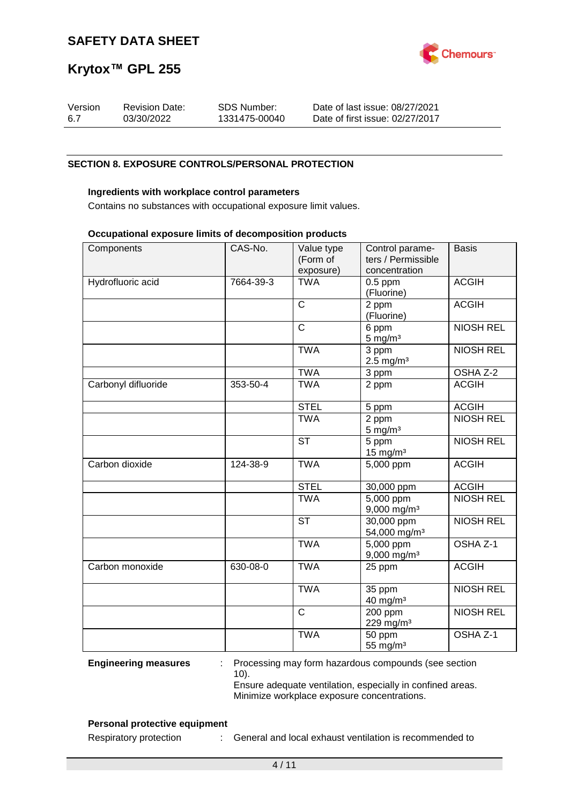

| Version | <b>Revision Date:</b> | <b>SDS Number:</b> | Date of last issue: 08/27/2021  |
|---------|-----------------------|--------------------|---------------------------------|
| 6.7     | 03/30/2022            | 1331475-00040      | Date of first issue: 02/27/2017 |

#### **SECTION 8. EXPOSURE CONTROLS/PERSONAL PROTECTION**

#### **Ingredients with workplace control parameters**

Contains no substances with occupational exposure limit values.

#### **Occupational exposure limits of decomposition products**

| Components          | CAS-No.   | Value type<br>(Form of<br>exposure) | Control parame-<br>ters / Permissible<br>concentration | <b>Basis</b>     |
|---------------------|-----------|-------------------------------------|--------------------------------------------------------|------------------|
| Hydrofluoric acid   | 7664-39-3 | <b>TWA</b>                          | $0.5$ ppm<br>(Fluorine)                                | <b>ACGIH</b>     |
|                     |           | $\overline{\text{c}}$               | 2 ppm<br>(Fluorine)                                    | <b>ACGIH</b>     |
|                     |           | $\overline{C}$                      | 6 ppm<br>$5 \text{ mg/m}^3$                            | <b>NIOSH REL</b> |
|                     |           | <b>TWA</b>                          | 3 ppm<br>$2.5$ mg/m <sup>3</sup>                       | <b>NIOSH REL</b> |
|                     |           | <b>TWA</b>                          | 3 ppm                                                  | OSHA Z-2         |
| Carbonyl difluoride | 353-50-4  | <b>TWA</b>                          | 2 ppm                                                  | <b>ACGIH</b>     |
|                     |           | <b>STEL</b>                         | 5 ppm                                                  | <b>ACGIH</b>     |
|                     |           | <b>TWA</b>                          | 2 ppm<br>$5 \text{ mg/m}^3$                            | <b>NIOSH REL</b> |
|                     |           | <b>ST</b>                           | 5 ppm<br>15 mg/m $3$                                   | <b>NIOSH REL</b> |
| Carbon dioxide      | 124-38-9  | <b>TWA</b>                          | 5,000 ppm                                              | <b>ACGIH</b>     |
|                     |           | <b>STEL</b>                         | 30,000 ppm                                             | <b>ACGIH</b>     |
|                     |           | <b>TWA</b>                          | 5,000 ppm<br>9,000 mg/m <sup>3</sup>                   | <b>NIOSH REL</b> |
|                     |           | <b>ST</b>                           | 30,000 ppm<br>54,000 mg/m <sup>3</sup>                 | <b>NIOSH REL</b> |
|                     |           | <b>TWA</b>                          | 5,000 ppm<br>$9,000$ mg/m <sup>3</sup>                 | OSHA Z-1         |
| Carbon monoxide     | 630-08-0  | <b>TWA</b>                          | 25 ppm                                                 | <b>ACGIH</b>     |
|                     |           | <b>TWA</b>                          | 35 ppm<br>40 mg/m <sup>3</sup>                         | <b>NIOSH REL</b> |
|                     |           | $\overline{\text{c}}$               | 200 ppm<br>229 mg/m <sup>3</sup>                       | <b>NIOSH REL</b> |
|                     |           | <b>TWA</b>                          | 50 ppm<br>55 mg/m <sup>3</sup>                         | OSHA Z-1         |

**Engineering measures** : Processing may form hazardous compounds (see section 10). Ensure adequate ventilation, especially in confined areas.

Minimize workplace exposure concentrations.

#### **Personal protective equipment**

Respiratory protection : General and local exhaust ventilation is recommended to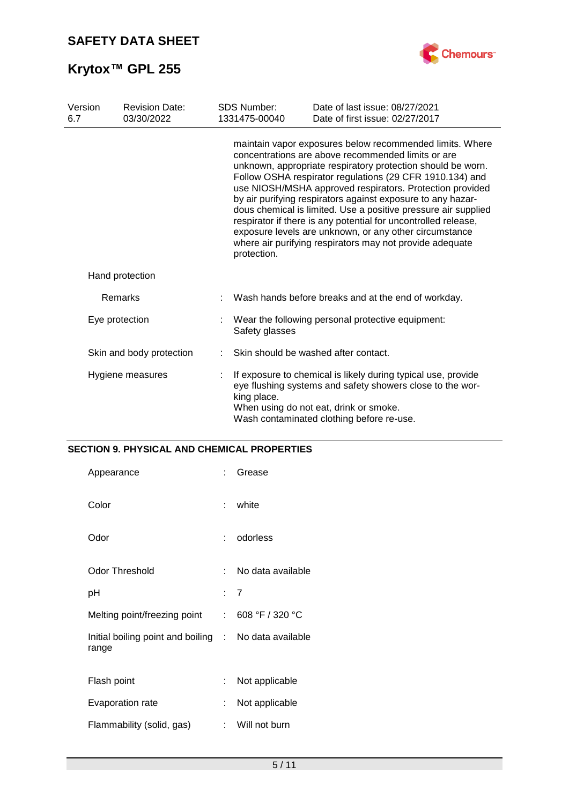

| Version<br>6.7 | <b>Revision Date:</b><br>03/30/2022 | <b>SDS Number:</b><br>1331475-00040 | Date of last issue: 08/27/2021<br>Date of first issue: 02/27/2017                                                                                                                                                                                                                                                                                                                                                                                                                                                                                                                                                              |
|----------------|-------------------------------------|-------------------------------------|--------------------------------------------------------------------------------------------------------------------------------------------------------------------------------------------------------------------------------------------------------------------------------------------------------------------------------------------------------------------------------------------------------------------------------------------------------------------------------------------------------------------------------------------------------------------------------------------------------------------------------|
|                |                                     | protection.                         | maintain vapor exposures below recommended limits. Where<br>concentrations are above recommended limits or are<br>unknown, appropriate respiratory protection should be worn.<br>Follow OSHA respirator regulations (29 CFR 1910.134) and<br>use NIOSH/MSHA approved respirators. Protection provided<br>by air purifying respirators against exposure to any hazar-<br>dous chemical is limited. Use a positive pressure air supplied<br>respirator if there is any potential for uncontrolled release,<br>exposure levels are unknown, or any other circumstance<br>where air purifying respirators may not provide adequate |
|                | Hand protection                     |                                     |                                                                                                                                                                                                                                                                                                                                                                                                                                                                                                                                                                                                                                |
|                | Remarks                             |                                     | Wash hands before breaks and at the end of workday.                                                                                                                                                                                                                                                                                                                                                                                                                                                                                                                                                                            |
|                | Eye protection                      | Safety glasses                      | Wear the following personal protective equipment:                                                                                                                                                                                                                                                                                                                                                                                                                                                                                                                                                                              |
|                | Skin and body protection            |                                     | Skin should be washed after contact.                                                                                                                                                                                                                                                                                                                                                                                                                                                                                                                                                                                           |
|                | Hygiene measures                    | king place.                         | If exposure to chemical is likely during typical use, provide<br>eye flushing systems and safety showers close to the wor-<br>When using do not eat, drink or smoke.<br>Wash contaminated clothing before re-use.                                                                                                                                                                                                                                                                                                                                                                                                              |

### **SECTION 9. PHYSICAL AND CHEMICAL PROPERTIES**

| Appearance                                                     | ÷   | Grease            |
|----------------------------------------------------------------|-----|-------------------|
| Color                                                          | t.  | white             |
| Odor                                                           | × 1 | odorless          |
| <b>Odor Threshold</b>                                          | t.  | No data available |
| рH                                                             |     | : 7               |
| Melting point/freezing point                                   | ÷.  | 608 °F / 320 °C   |
| Initial boiling point and boiling : No data available<br>range |     |                   |
| Flash point                                                    | ÷   | Not applicable    |
| Evaporation rate                                               | ÷   | Not applicable    |
| Flammability (solid, gas)                                      | t.  | Will not burn     |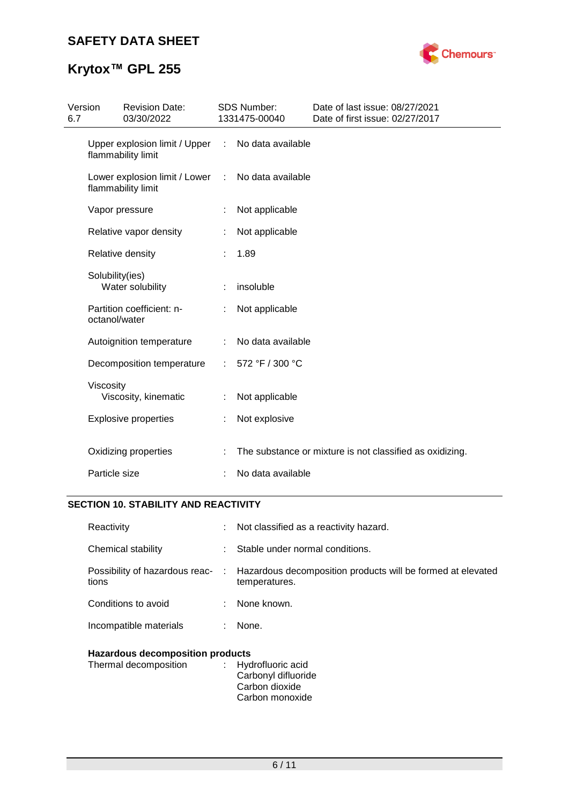## **SAFETY DATA SHEET**



# **Krytox™ GPL 255**

| Version<br>6.7 | <b>Revision Date:</b><br>03/30/2022                   |            | SDS Number:<br>1331475-00040 | Date of last issue: 08/27/2021<br>Date of first issue: 02/27/2017 |  |
|----------------|-------------------------------------------------------|------------|------------------------------|-------------------------------------------------------------------|--|
|                | Upper explosion limit / Upper :<br>flammability limit |            | No data available            |                                                                   |  |
|                | Lower explosion limit / Lower<br>flammability limit   | $\sim 100$ | No data available            |                                                                   |  |
|                | Vapor pressure                                        |            | Not applicable               |                                                                   |  |
|                | Relative vapor density                                |            | Not applicable               |                                                                   |  |
|                | Relative density                                      |            | 1.89                         |                                                                   |  |
|                | Solubility(ies)<br>Water solubility                   |            | insoluble                    |                                                                   |  |
|                | Partition coefficient: n-<br>octanol/water            |            | Not applicable               |                                                                   |  |
|                | Autoignition temperature                              | ÷          | No data available            |                                                                   |  |
|                | Decomposition temperature                             |            | 572 °F / 300 °C              |                                                                   |  |
|                | Viscosity<br>Viscosity, kinematic                     |            | Not applicable               |                                                                   |  |
|                | <b>Explosive properties</b>                           | ÷.         | Not explosive                |                                                                   |  |
|                | Oxidizing properties                                  |            |                              | The substance or mixture is not classified as oxidizing.          |  |
|                | Particle size                                         |            | No data available            |                                                                   |  |
|                |                                                       |            |                              |                                                                   |  |

#### **SECTION 10. STABILITY AND REACTIVITY**

| Reactivity                              |    | : Not classified as a reactivity hazard.                                                                      |
|-----------------------------------------|----|---------------------------------------------------------------------------------------------------------------|
| Chemical stability                      | t. | Stable under normal conditions.                                                                               |
| tions                                   |    | Possibility of hazardous reac- : Hazardous decomposition products will be formed at elevated<br>temperatures. |
| Conditions to avoid                     |    | : None known.                                                                                                 |
| Incompatible materials                  | ÷. | None.                                                                                                         |
| <b>Hazardous decomposition products</b> |    |                                                                                                               |
| Thermal decomposition                   |    | : Hydrofluoric acid<br>Carbonyl difluoride                                                                    |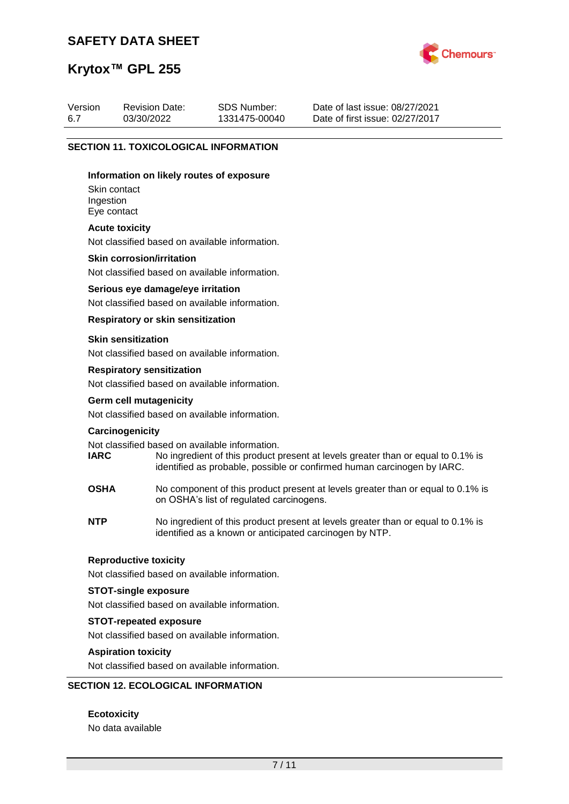### **SAFETY DATA SHEET**



## **Krytox™ GPL 255**

| Version | <b>Revision Date:</b> | SDS Number:   | Date of last issue: 08/27/2021  |
|---------|-----------------------|---------------|---------------------------------|
| 6.7     | 03/30/2022            | 1331475-00040 | Date of first issue: 02/27/2017 |

#### **SECTION 11. TOXICOLOGICAL INFORMATION**

#### **Information on likely routes of exposure**

Skin contact Ingestion Eye contact

#### **Acute toxicity**

Not classified based on available information.

#### **Skin corrosion/irritation**

Not classified based on available information.

#### **Serious eye damage/eye irritation**

Not classified based on available information.

#### **Respiratory or skin sensitization**

#### **Skin sensitization**

Not classified based on available information.

#### **Respiratory sensitization**

Not classified based on available information.

# **Germ cell mutagenicity**

Not classified based on available information.

#### **Carcinogenicity**

Not classified based on available information.<br> **IARC** No ingredient of this product to

- No ingredient of this product present at levels greater than or equal to 0.1% is identified as probable, possible or confirmed human carcinogen by IARC.
- **OSHA** No component of this product present at levels greater than or equal to 0.1% is on OSHA's list of regulated carcinogens.
- **NTP** No ingredient of this product present at levels greater than or equal to 0.1% is identified as a known or anticipated carcinogen by NTP.

#### **Reproductive toxicity**

Not classified based on available information.

#### **STOT-single exposure**

Not classified based on available information.

#### **STOT-repeated exposure**

Not classified based on available information.

#### **Aspiration toxicity**

Not classified based on available information.

#### **SECTION 12. ECOLOGICAL INFORMATION**

**Ecotoxicity** No data available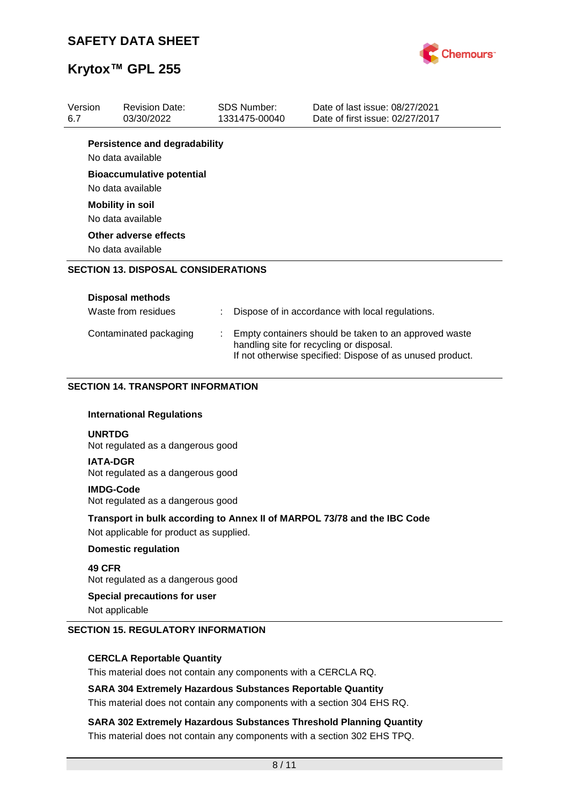

| Version<br>6.7 | <b>Revision Date:</b><br>03/30/2022                                                                                                                                                      |  | <b>SDS Number:</b><br>1331475-00040 | Date of last issue: 08/27/2021<br>Date of first issue: 02/27/2017        |  |  |  |
|----------------|------------------------------------------------------------------------------------------------------------------------------------------------------------------------------------------|--|-------------------------------------|--------------------------------------------------------------------------|--|--|--|
|                | <b>Persistence and degradability</b>                                                                                                                                                     |  |                                     |                                                                          |  |  |  |
|                | No data available                                                                                                                                                                        |  |                                     |                                                                          |  |  |  |
|                | <b>Bioaccumulative potential</b><br>No data available                                                                                                                                    |  |                                     |                                                                          |  |  |  |
|                | <b>Mobility in soil</b><br>No data available                                                                                                                                             |  |                                     |                                                                          |  |  |  |
|                | Other adverse effects<br>No data available                                                                                                                                               |  |                                     |                                                                          |  |  |  |
|                | <b>SECTION 13. DISPOSAL CONSIDERATIONS</b>                                                                                                                                               |  |                                     |                                                                          |  |  |  |
|                | <b>Disposal methods</b>                                                                                                                                                                  |  |                                     |                                                                          |  |  |  |
|                | Waste from residues                                                                                                                                                                      |  |                                     | Dispose of in accordance with local regulations.                         |  |  |  |
|                | Contaminated packaging<br>Empty containers should be taken to an approved waste<br>handling site for recycling or disposal.<br>If not otherwise specified: Dispose of as unused product. |  |                                     |                                                                          |  |  |  |
|                | <b>SECTION 14. TRANSPORT INFORMATION</b>                                                                                                                                                 |  |                                     |                                                                          |  |  |  |
|                | <b>International Regulations</b>                                                                                                                                                         |  |                                     |                                                                          |  |  |  |
| <b>UNRTDG</b>  | Not regulated as a dangerous good                                                                                                                                                        |  |                                     |                                                                          |  |  |  |
|                | <b>IATA-DGR</b><br>Not regulated as a dangerous good                                                                                                                                     |  |                                     |                                                                          |  |  |  |
|                | <b>IMDG-Code</b><br>Not regulated as a dangerous good                                                                                                                                    |  |                                     |                                                                          |  |  |  |
|                | Not applicable for product as supplied.                                                                                                                                                  |  |                                     | Transport in bulk according to Annex II of MARPOL 73/78 and the IBC Code |  |  |  |
|                | <b>Domestic regulation</b>                                                                                                                                                               |  |                                     |                                                                          |  |  |  |
| 49 CFR         | Not regulated as a dangerous good                                                                                                                                                        |  |                                     |                                                                          |  |  |  |
|                | Special precautions for user                                                                                                                                                             |  |                                     |                                                                          |  |  |  |

Not applicable

#### **SECTION 15. REGULATORY INFORMATION**

#### **CERCLA Reportable Quantity**

This material does not contain any components with a CERCLA RQ.

#### **SARA 304 Extremely Hazardous Substances Reportable Quantity**

This material does not contain any components with a section 304 EHS RQ.

**SARA 302 Extremely Hazardous Substances Threshold Planning Quantity** This material does not contain any components with a section 302 EHS TPQ.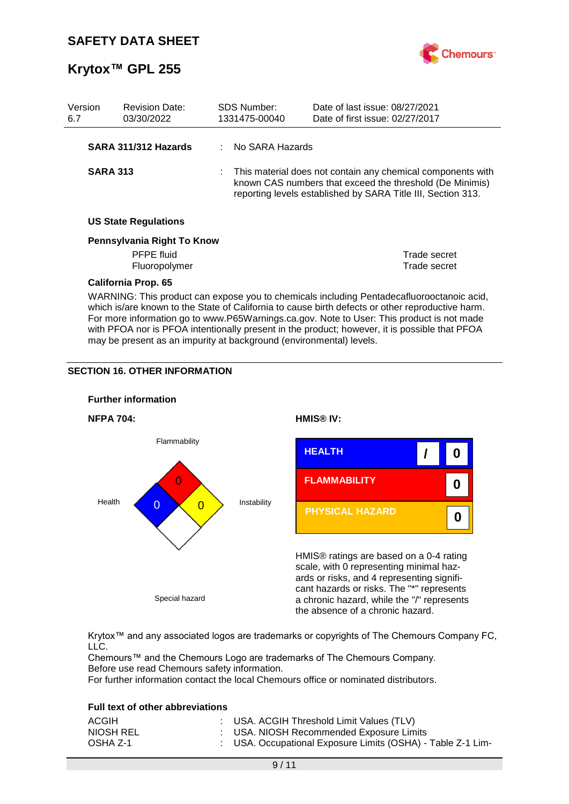

| Version<br>6.7                                                                                                                                                                                                                                                                                                                                                                              |                 | <b>Revision Date:</b><br>03/30/2022 |  | <b>SDS Number:</b><br>1331475-00040 | Date of last issue: 08/27/2021<br>Date of first issue: 02/27/2017                                                                                                                       |              |
|---------------------------------------------------------------------------------------------------------------------------------------------------------------------------------------------------------------------------------------------------------------------------------------------------------------------------------------------------------------------------------------------|-----------------|-------------------------------------|--|-------------------------------------|-----------------------------------------------------------------------------------------------------------------------------------------------------------------------------------------|--------------|
|                                                                                                                                                                                                                                                                                                                                                                                             |                 | SARA 311/312 Hazards                |  | No SARA Hazards                     |                                                                                                                                                                                         |              |
|                                                                                                                                                                                                                                                                                                                                                                                             | <b>SARA 313</b> |                                     |  |                                     | This material does not contain any chemical components with<br>known CAS numbers that exceed the threshold (De Minimis)<br>reporting levels established by SARA Title III, Section 313. |              |
|                                                                                                                                                                                                                                                                                                                                                                                             |                 | <b>US State Regulations</b>         |  |                                     |                                                                                                                                                                                         |              |
|                                                                                                                                                                                                                                                                                                                                                                                             |                 | Pennsylvania Right To Know          |  |                                     |                                                                                                                                                                                         |              |
|                                                                                                                                                                                                                                                                                                                                                                                             |                 | PFPE fluid                          |  |                                     |                                                                                                                                                                                         | Trade secret |
|                                                                                                                                                                                                                                                                                                                                                                                             |                 | Fluoropolymer                       |  |                                     |                                                                                                                                                                                         | Trade secret |
|                                                                                                                                                                                                                                                                                                                                                                                             |                 | <b>California Prop. 65</b>          |  |                                     |                                                                                                                                                                                         |              |
| WARNING: This product can expose you to chemicals including Pentadecafluorooctanoic acid,<br>which is/are known to the State of California to cause birth defects or other reproductive harm.<br>For more information go to www.P65Warnings.ca.gov. Note to User: This product is not made<br>with PFOA nor is PFOA intentionally present in the product; however, it is possible that PFOA |                 |                                     |  |                                     |                                                                                                                                                                                         |              |

may be present as an impurity at background (environmental) levels.

#### **SECTION 16. OTHER INFORMATION**



Krytox™ and any associated logos are trademarks or copyrights of The Chemours Company FC, LLC.

Chemours™ and the Chemours Logo are trademarks of The Chemours Company. Before use read Chemours safety information.

For further information contact the local Chemours office or nominated distributors.

#### **Full text of other abbreviations**

| ACGIH     | : USA. ACGIH Threshold Limit Values (TLV)                   |
|-----------|-------------------------------------------------------------|
| NIOSH REL | : USA. NIOSH Recommended Exposure Limits                    |
| OSHA Z-1  | : USA. Occupational Exposure Limits (OSHA) - Table Z-1 Lim- |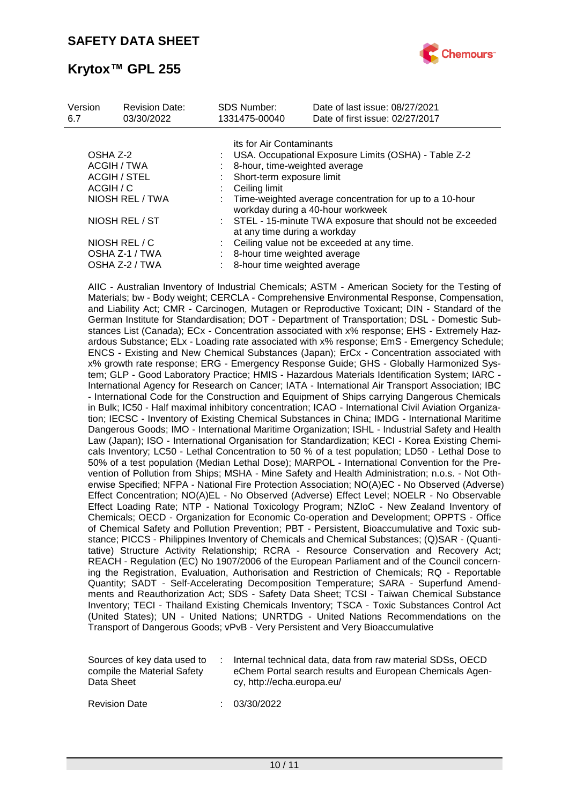

| Version<br>6.7          | <b>Revision Date:</b><br>03/30/2022 | <b>SDS Number:</b><br>1331475-00040                                                          | Date of last issue: 08/27/2021<br>Date of first issue: 02/27/2017 |  |  |  |
|-------------------------|-------------------------------------|----------------------------------------------------------------------------------------------|-------------------------------------------------------------------|--|--|--|
|                         |                                     | its for Air Contaminants                                                                     |                                                                   |  |  |  |
| OSHA Z-2<br>ACGIH / TWA |                                     |                                                                                              | USA. Occupational Exposure Limits (OSHA) - Table Z-2              |  |  |  |
|                         |                                     | 8-hour, time-weighted average                                                                |                                                                   |  |  |  |
| <b>ACGIH / STEL</b>     |                                     | Short-term exposure limit                                                                    |                                                                   |  |  |  |
| ACGIH / C               |                                     | Ceiling limit                                                                                |                                                                   |  |  |  |
| NIOSH REL / TWA         |                                     | Time-weighted average concentration for up to a 10-hour<br>workday during a 40-hour workweek |                                                                   |  |  |  |
| NIOSH REL / ST          |                                     | : STEL - 15-minute TWA exposure that should not be exceeded<br>at any time during a workday  |                                                                   |  |  |  |
|                         | NIOSH REL / C                       |                                                                                              | Ceiling value not be exceeded at any time.                        |  |  |  |
| OSHA Z-1 / TWA          |                                     | 8-hour time weighted average                                                                 |                                                                   |  |  |  |
|                         | OSHA Z-2 / TWA                      | 8-hour time weighted average                                                                 |                                                                   |  |  |  |

AIIC - Australian Inventory of Industrial Chemicals; ASTM - American Society for the Testing of Materials; bw - Body weight; CERCLA - Comprehensive Environmental Response, Compensation, and Liability Act; CMR - Carcinogen, Mutagen or Reproductive Toxicant; DIN - Standard of the German Institute for Standardisation; DOT - Department of Transportation; DSL - Domestic Substances List (Canada); ECx - Concentration associated with x% response; EHS - Extremely Hazardous Substance; ELx - Loading rate associated with x% response; EmS - Emergency Schedule; ENCS - Existing and New Chemical Substances (Japan); ErCx - Concentration associated with x% growth rate response; ERG - Emergency Response Guide; GHS - Globally Harmonized System; GLP - Good Laboratory Practice; HMIS - Hazardous Materials Identification System; IARC - International Agency for Research on Cancer; IATA - International Air Transport Association; IBC - International Code for the Construction and Equipment of Ships carrying Dangerous Chemicals in Bulk; IC50 - Half maximal inhibitory concentration; ICAO - International Civil Aviation Organization; IECSC - Inventory of Existing Chemical Substances in China; IMDG - International Maritime Dangerous Goods; IMO - International Maritime Organization; ISHL - Industrial Safety and Health Law (Japan); ISO - International Organisation for Standardization; KECI - Korea Existing Chemicals Inventory; LC50 - Lethal Concentration to 50 % of a test population; LD50 - Lethal Dose to 50% of a test population (Median Lethal Dose); MARPOL - International Convention for the Prevention of Pollution from Ships; MSHA - Mine Safety and Health Administration; n.o.s. - Not Otherwise Specified; NFPA - National Fire Protection Association; NO(A)EC - No Observed (Adverse) Effect Concentration; NO(A)EL - No Observed (Adverse) Effect Level; NOELR - No Observable Effect Loading Rate; NTP - National Toxicology Program; NZIoC - New Zealand Inventory of Chemicals; OECD - Organization for Economic Co-operation and Development; OPPTS - Office of Chemical Safety and Pollution Prevention; PBT - Persistent, Bioaccumulative and Toxic substance; PICCS - Philippines Inventory of Chemicals and Chemical Substances; (Q)SAR - (Quantitative) Structure Activity Relationship; RCRA - Resource Conservation and Recovery Act; REACH - Regulation (EC) No 1907/2006 of the European Parliament and of the Council concerning the Registration, Evaluation, Authorisation and Restriction of Chemicals; RQ - Reportable Quantity; SADT - Self-Accelerating Decomposition Temperature; SARA - Superfund Amendments and Reauthorization Act; SDS - Safety Data Sheet; TCSI - Taiwan Chemical Substance Inventory; TECI - Thailand Existing Chemicals Inventory; TSCA - Toxic Substances Control Act (United States); UN - United Nations; UNRTDG - United Nations Recommendations on the Transport of Dangerous Goods; vPvB - Very Persistent and Very Bioaccumulative

| Sources of key data used to | Internal technical data, data from raw material SDSs, OECD |
|-----------------------------|------------------------------------------------------------|
| compile the Material Safety | eChem Portal search results and European Chemicals Agen-   |
| Data Sheet                  | cy, http://echa.europa.eu/                                 |

Revision Date : 03/30/2022